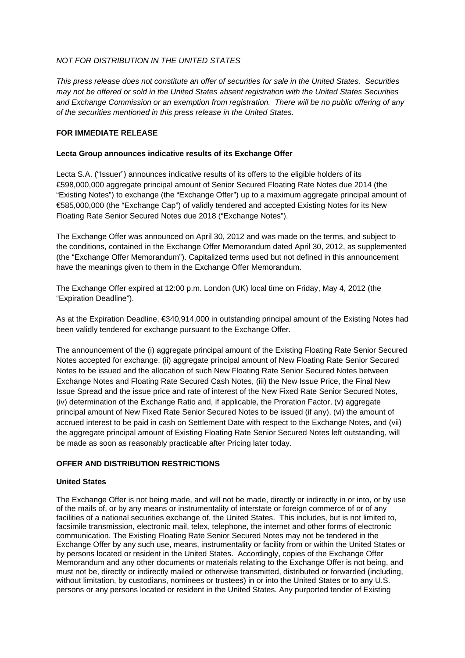## *NOT FOR DISTRIBUTION IN THE UNITED STATES*

*This press release does not constitute an offer of securities for sale in the United States. Securities may not be offered or sold in the United States absent registration with the United States Securities and Exchange Commission or an exemption from registration. There will be no public offering of any of the securities mentioned in this press release in the United States.* 

# **FOR IMMEDIATE RELEASE**

## **Lecta Group announces indicative results of its Exchange Offer**

Lecta S.A. ("Issuer") announces indicative results of its offers to the eligible holders of its €598,000,000 aggregate principal amount of Senior Secured Floating Rate Notes due 2014 (the "Existing Notes") to exchange (the "Exchange Offer") up to a maximum aggregate principal amount of €585,000,000 (the "Exchange Cap") of validly tendered and accepted Existing Notes for its New Floating Rate Senior Secured Notes due 2018 ("Exchange Notes").

The Exchange Offer was announced on April 30, 2012 and was made on the terms, and subject to the conditions, contained in the Exchange Offer Memorandum dated April 30, 2012, as supplemented (the "Exchange Offer Memorandum"). Capitalized terms used but not defined in this announcement have the meanings given to them in the Exchange Offer Memorandum.

The Exchange Offer expired at 12:00 p.m. London (UK) local time on Friday, May 4, 2012 (the "Expiration Deadline").

As at the Expiration Deadline, €340,914,000 in outstanding principal amount of the Existing Notes had been validly tendered for exchange pursuant to the Exchange Offer.

The announcement of the (i) aggregate principal amount of the Existing Floating Rate Senior Secured Notes accepted for exchange, (ii) aggregate principal amount of New Floating Rate Senior Secured Notes to be issued and the allocation of such New Floating Rate Senior Secured Notes between Exchange Notes and Floating Rate Secured Cash Notes, (iii) the New Issue Price, the Final New Issue Spread and the issue price and rate of interest of the New Fixed Rate Senior Secured Notes, (iv) determination of the Exchange Ratio and, if applicable, the Proration Factor, (v) aggregate principal amount of New Fixed Rate Senior Secured Notes to be issued (if any), (vi) the amount of accrued interest to be paid in cash on Settlement Date with respect to the Exchange Notes, and (vii) the aggregate principal amount of Existing Floating Rate Senior Secured Notes left outstanding, will be made as soon as reasonably practicable after Pricing later today.

## **OFFER AND DISTRIBUTION RESTRICTIONS**

## **United States**

The Exchange Offer is not being made, and will not be made, directly or indirectly in or into, or by use of the mails of, or by any means or instrumentality of interstate or foreign commerce of or of any facilities of a national securities exchange of, the United States. This includes, but is not limited to, facsimile transmission, electronic mail, telex, telephone, the internet and other forms of electronic communication. The Existing Floating Rate Senior Secured Notes may not be tendered in the Exchange Offer by any such use, means, instrumentality or facility from or within the United States or by persons located or resident in the United States. Accordingly, copies of the Exchange Offer Memorandum and any other documents or materials relating to the Exchange Offer is not being, and must not be, directly or indirectly mailed or otherwise transmitted, distributed or forwarded (including, without limitation, by custodians, nominees or trustees) in or into the United States or to any U.S. persons or any persons located or resident in the United States. Any purported tender of Existing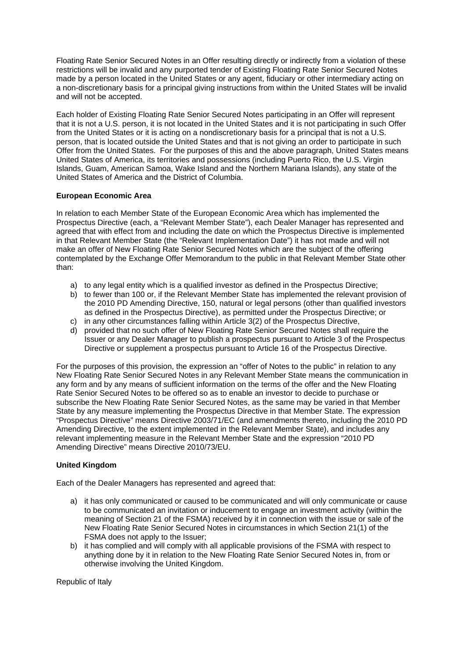Floating Rate Senior Secured Notes in an Offer resulting directly or indirectly from a violation of these restrictions will be invalid and any purported tender of Existing Floating Rate Senior Secured Notes made by a person located in the United States or any agent, fiduciary or other intermediary acting on a non-discretionary basis for a principal giving instructions from within the United States will be invalid and will not be accepted.

Each holder of Existing Floating Rate Senior Secured Notes participating in an Offer will represent that it is not a U.S. person, it is not located in the United States and it is not participating in such Offer from the United States or it is acting on a nondiscretionary basis for a principal that is not a U.S. person, that is located outside the United States and that is not giving an order to participate in such Offer from the United States. For the purposes of this and the above paragraph, United States means United States of America, its territories and possessions (including Puerto Rico, the U.S. Virgin Islands, Guam, American Samoa, Wake Island and the Northern Mariana Islands), any state of the United States of America and the District of Columbia.

### **European Economic Area**

In relation to each Member State of the European Economic Area which has implemented the Prospectus Directive (each, a "Relevant Member State"), each Dealer Manager has represented and agreed that with effect from and including the date on which the Prospectus Directive is implemented in that Relevant Member State (the "Relevant Implementation Date") it has not made and will not make an offer of New Floating Rate Senior Secured Notes which are the subject of the offering contemplated by the Exchange Offer Memorandum to the public in that Relevant Member State other than:

- a) to any legal entity which is a qualified investor as defined in the Prospectus Directive;
- b) to fewer than 100 or, if the Relevant Member State has implemented the relevant provision of the 2010 PD Amending Directive, 150, natural or legal persons (other than qualified investors as defined in the Prospectus Directive), as permitted under the Prospectus Directive; or
- c) in any other circumstances falling within Article 3(2) of the Prospectus Directive,
- d) provided that no such offer of New Floating Rate Senior Secured Notes shall require the Issuer or any Dealer Manager to publish a prospectus pursuant to Article 3 of the Prospectus Directive or supplement a prospectus pursuant to Article 16 of the Prospectus Directive.

For the purposes of this provision, the expression an "offer of Notes to the public" in relation to any New Floating Rate Senior Secured Notes in any Relevant Member State means the communication in any form and by any means of sufficient information on the terms of the offer and the New Floating Rate Senior Secured Notes to be offered so as to enable an investor to decide to purchase or subscribe the New Floating Rate Senior Secured Notes, as the same may be varied in that Member State by any measure implementing the Prospectus Directive in that Member State. The expression "Prospectus Directive" means Directive 2003/71/EC (and amendments thereto, including the 2010 PD Amending Directive, to the extent implemented in the Relevant Member State), and includes any relevant implementing measure in the Relevant Member State and the expression "2010 PD Amending Directive" means Directive 2010/73/EU.

## **United Kingdom**

Each of the Dealer Managers has represented and agreed that:

- a) it has only communicated or caused to be communicated and will only communicate or cause to be communicated an invitation or inducement to engage an investment activity (within the meaning of Section 21 of the FSMA) received by it in connection with the issue or sale of the New Floating Rate Senior Secured Notes in circumstances in which Section 21(1) of the FSMA does not apply to the Issuer;
- b) it has complied and will comply with all applicable provisions of the FSMA with respect to anything done by it in relation to the New Floating Rate Senior Secured Notes in, from or otherwise involving the United Kingdom.

Republic of Italy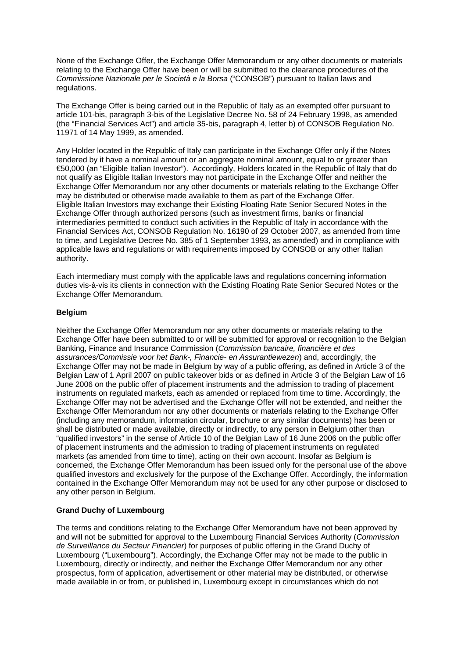None of the Exchange Offer, the Exchange Offer Memorandum or any other documents or materials relating to the Exchange Offer have been or will be submitted to the clearance procedures of the *Commissione Nazionale per le Società e la Borsa* ("CONSOB") pursuant to Italian laws and regulations.

The Exchange Offer is being carried out in the Republic of Italy as an exempted offer pursuant to article 101-bis, paragraph 3-bis of the Legislative Decree No. 58 of 24 February 1998, as amended (the "Financial Services Act") and article 35-bis, paragraph 4, letter b) of CONSOB Regulation No. 11971 of 14 May 1999, as amended.

Any Holder located in the Republic of Italy can participate in the Exchange Offer only if the Notes tendered by it have a nominal amount or an aggregate nominal amount, equal to or greater than €50,000 (an "Eligible Italian Investor"). Accordingly, Holders located in the Republic of Italy that do not qualify as Eligible Italian Investors may not participate in the Exchange Offer and neither the Exchange Offer Memorandum nor any other documents or materials relating to the Exchange Offer may be distributed or otherwise made available to them as part of the Exchange Offer. Eligible Italian Investors may exchange their Existing Floating Rate Senior Secured Notes in the Exchange Offer through authorized persons (such as investment firms, banks or financial intermediaries permitted to conduct such activities in the Republic of Italy in accordance with the Financial Services Act, CONSOB Regulation No. 16190 of 29 October 2007, as amended from time to time, and Legislative Decree No. 385 of 1 September 1993, as amended) and in compliance with applicable laws and regulations or with requirements imposed by CONSOB or any other Italian authority.

Each intermediary must comply with the applicable laws and regulations concerning information duties vis-à-vis its clients in connection with the Existing Floating Rate Senior Secured Notes or the Exchange Offer Memorandum.

### **Belgium**

Neither the Exchange Offer Memorandum nor any other documents or materials relating to the Exchange Offer have been submitted to or will be submitted for approval or recognition to the Belgian Banking, Finance and Insurance Commission (*Commission bancaire, financière et des assurances/Commissie voor het Bank-, Financie- en Assurantiewezen*) and, accordingly, the Exchange Offer may not be made in Belgium by way of a public offering, as defined in Article 3 of the Belgian Law of 1 April 2007 on public takeover bids or as defined in Article 3 of the Belgian Law of 16 June 2006 on the public offer of placement instruments and the admission to trading of placement instruments on regulated markets, each as amended or replaced from time to time. Accordingly, the Exchange Offer may not be advertised and the Exchange Offer will not be extended, and neither the Exchange Offer Memorandum nor any other documents or materials relating to the Exchange Offer (including any memorandum, information circular, brochure or any similar documents) has been or shall be distributed or made available, directly or indirectly, to any person in Belgium other than "qualified investors" in the sense of Article 10 of the Belgian Law of 16 June 2006 on the public offer of placement instruments and the admission to trading of placement instruments on regulated markets (as amended from time to time), acting on their own account. Insofar as Belgium is concerned, the Exchange Offer Memorandum has been issued only for the personal use of the above qualified investors and exclusively for the purpose of the Exchange Offer. Accordingly, the information contained in the Exchange Offer Memorandum may not be used for any other purpose or disclosed to any other person in Belgium.

## **Grand Duchy of Luxembourg**

The terms and conditions relating to the Exchange Offer Memorandum have not been approved by and will not be submitted for approval to the Luxembourg Financial Services Authority (*Commission de Surveillance du Secteur Financier*) for purposes of public offering in the Grand Duchy of Luxembourg ("Luxembourg"). Accordingly, the Exchange Offer may not be made to the public in Luxembourg, directly or indirectly, and neither the Exchange Offer Memorandum nor any other prospectus, form of application, advertisement or other material may be distributed, or otherwise made available in or from, or published in, Luxembourg except in circumstances which do not